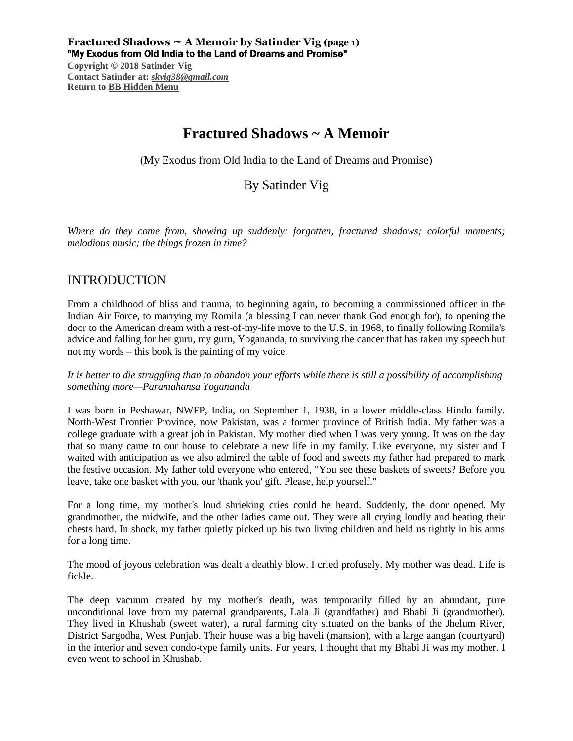**Fractured Shadows**  $\sim$  **A Memoir by Satinder Vig** (page 1) "My Exodus from Old India to the Land of Dreams and Promise"

**Copyright © 2018 Satinder Vig Contact Satinder at:** *[skvig38@gmail.com](mailto:skvig38@gmail.com)* **Return to [BB Hidden Menu](https://www.bartlettbiographies.com/hidden-menu)**

# **Fractured Shadows ~ A Memoir**

(My Exodus from Old India to the Land of Dreams and Promise)

## By Satinder Vig

*Where do they come from, showing up suddenly: forgotten, fractured shadows; colorful moments; melodious music; the things frozen in time?*

## INTRODUCTION

From a childhood of bliss and trauma, to beginning again, to becoming a commissioned officer in the Indian Air Force, to marrying my Romila (a blessing I can never thank God enough for), to opening the door to the American dream with a rest-of-my-life move to the U.S. in 1968, to finally following Romila's advice and falling for her guru, my guru, Yogananda, to surviving the cancer that has taken my speech but not my words – this book is the painting of my voice.

*It is better to die struggling than to abandon your efforts while there is still a possibility of accomplishing something more—Paramahansa Yogananda*

I was born in Peshawar, NWFP, India, on September 1, 1938, in a lower middle-class Hindu family. North-West Frontier Province, now Pakistan, was a former province of British India. My father was a college graduate with a great job in Pakistan. My mother died when I was very young. It was on the day that so many came to our house to celebrate a new life in my family. Like everyone, my sister and I waited with anticipation as we also admired the table of food and sweets my father had prepared to mark the festive occasion. My father told everyone who entered, "You see these baskets of sweets? Before you leave, take one basket with you, our 'thank you' gift. Please, help yourself."

For a long time, my mother's loud shrieking cries could be heard. Suddenly, the door opened. My grandmother, the midwife, and the other ladies came out. They were all crying loudly and beating their chests hard. In shock, my father quietly picked up his two living children and held us tightly in his arms for a long time.

The mood of joyous celebration was dealt a deathly blow. I cried profusely. My mother was dead. Life is fickle.

The deep vacuum created by my mother's death, was temporarily filled by an abundant, pure unconditional love from my paternal grandparents, Lala Ji (grandfather) and Bhabi Ji (grandmother). They lived in Khushab (sweet water), a rural farming city situated on the banks of the Jhelum River, District Sargodha, West Punjab. Their house was a big haveli (mansion), with a large aangan (courtyard) in the interior and seven condo-type family units. For years, I thought that my Bhabi Ji was my mother. I even went to school in Khushab.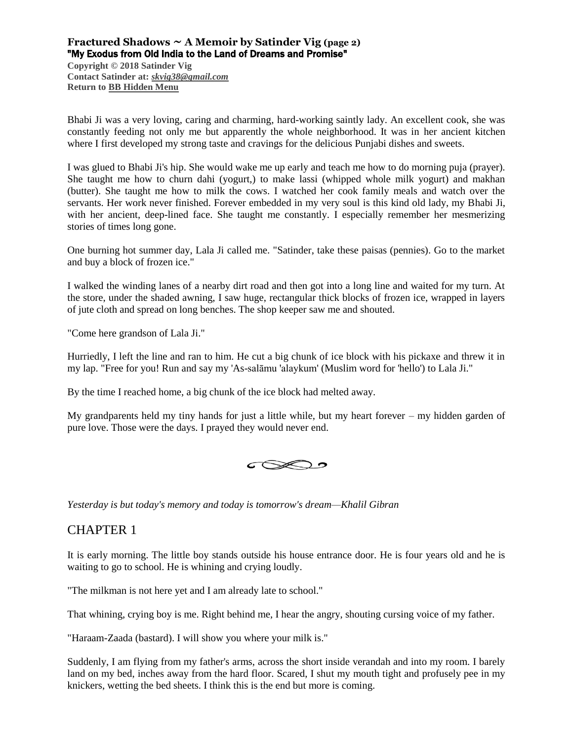## **Fractured Shadows ~ A Memoir by Satinder Vig (page 2)** "My Exodus from Old India to the Land of Dreams and Promise"

**Copyright © 2018 Satinder Vig Contact Satinder at:** *[skvig38@gmail.com](mailto:skvig38@gmail.com)* **Return to [BB Hidden Menu](https://www.bartlettbiographies.com/hidden-menu)**

Bhabi Ji was a very loving, caring and charming, hard-working saintly lady. An excellent cook, she was constantly feeding not only me but apparently the whole neighborhood. It was in her ancient kitchen where I first developed my strong taste and cravings for the delicious Punjabi dishes and sweets.

I was glued to Bhabi Ji's hip. She would wake me up early and teach me how to do morning puja (prayer). She taught me how to churn dahi (yogurt,) to make lassi (whipped whole milk yogurt) and makhan (butter). She taught me how to milk the cows. I watched her cook family meals and watch over the servants. Her work never finished. Forever embedded in my very soul is this kind old lady, my Bhabi Ji, with her ancient, deep-lined face. She taught me constantly. I especially remember her mesmerizing stories of times long gone.

One burning hot summer day, Lala Ji called me. "Satinder, take these paisas (pennies). Go to the market and buy a block of frozen ice."

I walked the winding lanes of a nearby dirt road and then got into a long line and waited for my turn. At the store, under the shaded awning, I saw huge, rectangular thick blocks of frozen ice, wrapped in layers of jute cloth and spread on long benches. The shop keeper saw me and shouted.

"Come here grandson of Lala Ji."

Hurriedly, I left the line and ran to him. He cut a big chunk of ice block with his pickaxe and threw it in my lap. "Free for you! Run and say my 'As-salāmu 'alaykum' (Muslim word for 'hello') to Lala Ji."

By the time I reached home, a big chunk of the ice block had melted away.

My grandparents held my tiny hands for just a little while, but my heart forever – my hidden garden of pure love. Those were the days. I prayed they would never end.



*Yesterday is but today's memory and today is tomorrow's dream—Khalil Gibran*

## CHAPTER 1

It is early morning. The little boy stands outside his house entrance door. He is four years old and he is waiting to go to school. He is whining and crying loudly.

"The milkman is not here yet and I am already late to school."

That whining, crying boy is me. Right behind me, I hear the angry, shouting cursing voice of my father.

"Haraam-Zaada (bastard). I will show you where your milk is."

Suddenly, I am flying from my father's arms, across the short inside verandah and into my room. I barely land on my bed, inches away from the hard floor. Scared, I shut my mouth tight and profusely pee in my knickers, wetting the bed sheets. I think this is the end but more is coming.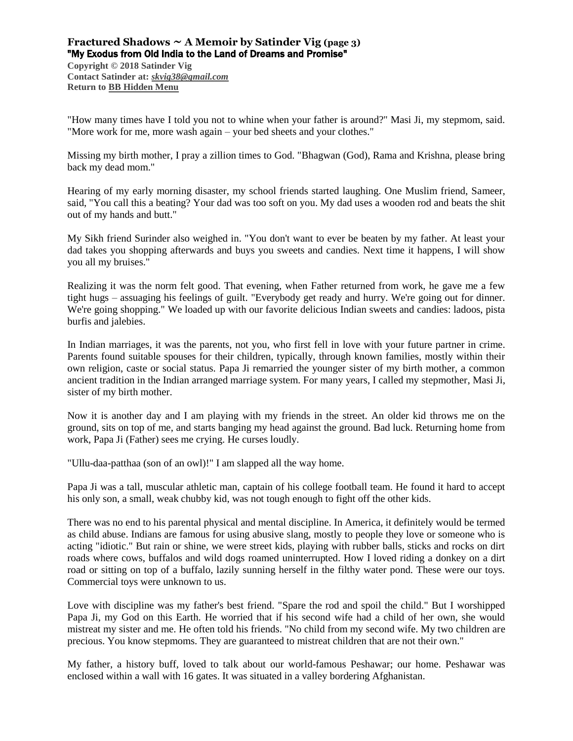### **Fractured Shadows**  $\sim$  **A Memoir by Satinder Vig** (page 3) "My Exodus from Old India to the Land of Dreams and Promise"

**Copyright © 2018 Satinder Vig Contact Satinder at:** *[skvig38@gmail.com](mailto:skvig38@gmail.com)* **Return to [BB Hidden Menu](https://www.bartlettbiographies.com/hidden-menu)**

"How many times have I told you not to whine when your father is around?" Masi Ji, my stepmom, said. "More work for me, more wash again – your bed sheets and your clothes."

Missing my birth mother, I pray a zillion times to God. "Bhagwan (God), Rama and Krishna, please bring back my dead mom."

Hearing of my early morning disaster, my school friends started laughing. One Muslim friend, Sameer, said, "You call this a beating? Your dad was too soft on you. My dad uses a wooden rod and beats the shit out of my hands and butt."

My Sikh friend Surinder also weighed in. "You don't want to ever be beaten by my father. At least your dad takes you shopping afterwards and buys you sweets and candies. Next time it happens, I will show you all my bruises."

Realizing it was the norm felt good. That evening, when Father returned from work, he gave me a few tight hugs – assuaging his feelings of guilt. "Everybody get ready and hurry. We're going out for dinner. We're going shopping." We loaded up with our favorite delicious Indian sweets and candies: ladoos, pista burfis and jalebies.

In Indian marriages, it was the parents, not you, who first fell in love with your future partner in crime. Parents found suitable spouses for their children, typically, through known families, mostly within their own religion, caste or social status. Papa Ji remarried the younger sister of my birth mother, a common ancient tradition in the Indian arranged marriage system. For many years, I called my stepmother, Masi Ji, sister of my birth mother.

Now it is another day and I am playing with my friends in the street. An older kid throws me on the ground, sits on top of me, and starts banging my head against the ground. Bad luck. Returning home from work, Papa Ji (Father) sees me crying. He curses loudly.

"Ullu-daa-patthaa (son of an owl)!" I am slapped all the way home.

Papa Ji was a tall, muscular athletic man, captain of his college football team. He found it hard to accept his only son, a small, weak chubby kid, was not tough enough to fight off the other kids.

There was no end to his parental physical and mental discipline. In America, it definitely would be termed as child abuse. Indians are famous for using abusive slang, mostly to people they love or someone who is acting "idiotic." But rain or shine, we were street kids, playing with rubber balls, sticks and rocks on dirt roads where cows, buffalos and wild dogs roamed uninterrupted. How I loved riding a donkey on a dirt road or sitting on top of a buffalo, lazily sunning herself in the filthy water pond. These were our toys. Commercial toys were unknown to us.

Love with discipline was my father's best friend. "Spare the rod and spoil the child." But I worshipped Papa Ji, my God on this Earth. He worried that if his second wife had a child of her own, she would mistreat my sister and me. He often told his friends. "No child from my second wife. My two children are precious. You know stepmoms. They are guaranteed to mistreat children that are not their own."

My father, a history buff, loved to talk about our world-famous Peshawar; our home. Peshawar was enclosed within a wall with 16 gates. It was situated in a valley bordering Afghanistan.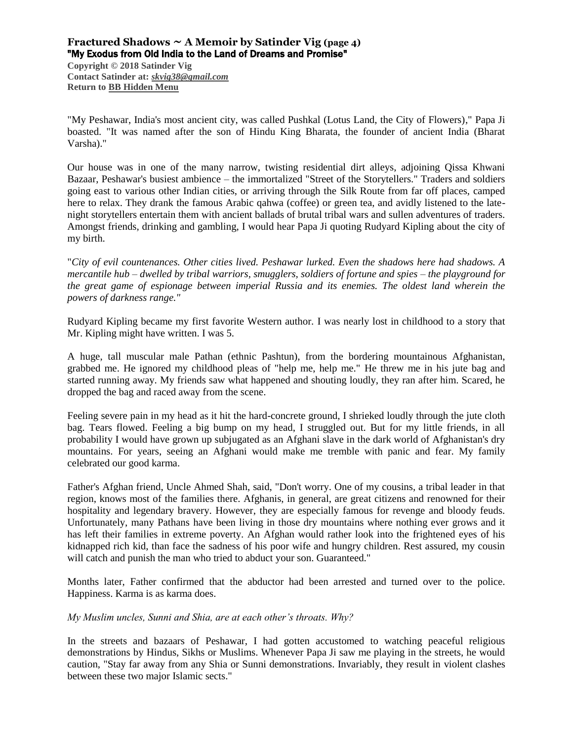### **Fractured Shadows**  $\sim$  **A Memoir by Satinder Vig** (page 4) "My Exodus from Old India to the Land of Dreams and Promise"

**Copyright © 2018 Satinder Vig Contact Satinder at:** *[skvig38@gmail.com](mailto:skvig38@gmail.com)* **Return to [BB Hidden Menu](https://www.bartlettbiographies.com/hidden-menu)**

"My Peshawar, India's most ancient city, was called Pushkal (Lotus Land, the City of Flowers)," Papa Ji boasted. "It was named after the son of Hindu King Bharata, the founder of ancient India (Bharat Varsha)."

Our house was in one of the many narrow, twisting residential dirt alleys, adjoining Qissa Khwani Bazaar, Peshawar's busiest ambience – the immortalized "Street of the Storytellers." Traders and soldiers going east to various other Indian cities, or arriving through the Silk Route from far off places, camped here to relax. They drank the famous Arabic qahwa (coffee) or green tea, and avidly listened to the latenight storytellers entertain them with ancient ballads of brutal tribal wars and sullen adventures of traders. Amongst friends, drinking and gambling, I would hear Papa Ji quoting Rudyard Kipling about the city of my birth.

"*City of evil countenances. Other cities lived. Peshawar lurked. Even the shadows here had shadows. A mercantile hub – dwelled by tribal warriors, smugglers, soldiers of fortune and spies – the playground for the great game of espionage between imperial Russia and its enemies. The oldest land wherein the powers of darkness range."*

Rudyard Kipling became my first favorite Western author. I was nearly lost in childhood to a story that Mr. Kipling might have written. I was 5.

A huge, tall muscular male Pathan (ethnic Pashtun), from the bordering mountainous Afghanistan, grabbed me. He ignored my childhood pleas of "help me, help me." He threw me in his jute bag and started running away. My friends saw what happened and shouting loudly, they ran after him. Scared, he dropped the bag and raced away from the scene.

Feeling severe pain in my head as it hit the hard-concrete ground, I shrieked loudly through the jute cloth bag. Tears flowed. Feeling a big bump on my head, I struggled out. But for my little friends, in all probability I would have grown up subjugated as an Afghani slave in the dark world of Afghanistan's dry mountains. For years, seeing an Afghani would make me tremble with panic and fear. My family celebrated our good karma.

Father's Afghan friend, Uncle Ahmed Shah, said, "Don't worry. One of my cousins, a tribal leader in that region, knows most of the families there. Afghanis, in general, are great citizens and renowned for their hospitality and legendary bravery. However, they are especially famous for revenge and bloody feuds. Unfortunately, many Pathans have been living in those dry mountains where nothing ever grows and it has left their families in extreme poverty. An Afghan would rather look into the frightened eyes of his kidnapped rich kid, than face the sadness of his poor wife and hungry children. Rest assured, my cousin will catch and punish the man who tried to abduct your son. Guaranteed."

Months later, Father confirmed that the abductor had been arrested and turned over to the police. Happiness. Karma is as karma does.

*My Muslim uncles, Sunni and Shia, are at each other's throats. Why?*

In the streets and bazaars of Peshawar, I had gotten accustomed to watching peaceful religious demonstrations by Hindus, Sikhs or Muslims. Whenever Papa Ji saw me playing in the streets, he would caution, "Stay far away from any Shia or Sunni demonstrations. Invariably, they result in violent clashes between these two major Islamic sects."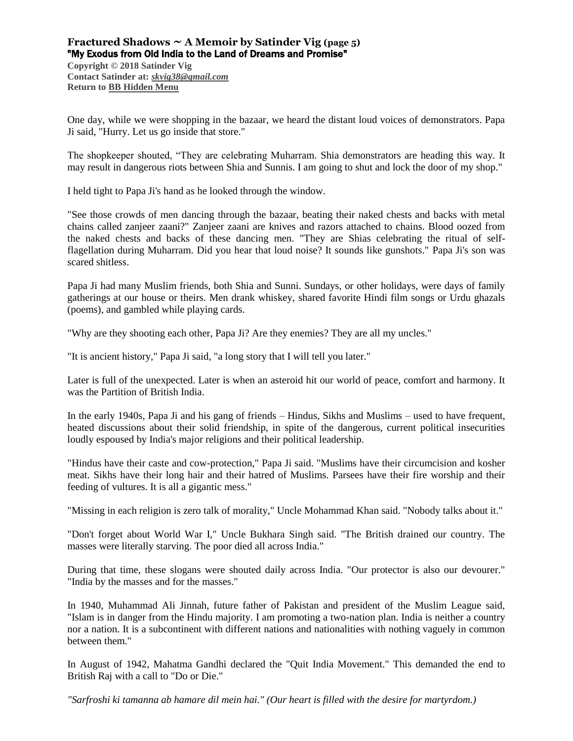## **Fractured Shadows**  $\sim$  **A Memoir by Satinder Vig** (page 5) "My Exodus from Old India to the Land of Dreams and Promise"

**Copyright © 2018 Satinder Vig Contact Satinder at:** *[skvig38@gmail.com](mailto:skvig38@gmail.com)* **Return to [BB Hidden Menu](https://www.bartlettbiographies.com/hidden-menu)**

One day, while we were shopping in the bazaar, we heard the distant loud voices of demonstrators. Papa Ji said, "Hurry. Let us go inside that store."

The shopkeeper shouted, "They are celebrating Muharram. Shia demonstrators are heading this way. It may result in dangerous riots between Shia and Sunnis. I am going to shut and lock the door of my shop."

I held tight to Papa Ji's hand as he looked through the window.

"See those crowds of men dancing through the bazaar, beating their naked chests and backs with metal chains called zanjeer zaani?" Zanjeer zaani are knives and razors attached to chains. Blood oozed from the naked chests and backs of these dancing men. "They are Shias celebrating the ritual of selfflagellation during Muharram. Did you hear that loud noise? It sounds like gunshots." Papa Ji's son was scared shitless.

Papa Ji had many Muslim friends, both Shia and Sunni. Sundays, or other holidays, were days of family gatherings at our house or theirs. Men drank whiskey, shared favorite Hindi film songs or Urdu ghazals (poems), and gambled while playing cards.

"Why are they shooting each other, Papa Ji? Are they enemies? They are all my uncles."

"It is ancient history," Papa Ji said, "a long story that I will tell you later."

Later is full of the unexpected. Later is when an asteroid hit our world of peace, comfort and harmony. It was the Partition of British India.

In the early 1940s, Papa Ji and his gang of friends – Hindus, Sikhs and Muslims – used to have frequent, heated discussions about their solid friendship, in spite of the dangerous, current political insecurities loudly espoused by India's major religions and their political leadership.

"Hindus have their caste and cow-protection," Papa Ji said. "Muslims have their circumcision and kosher meat. Sikhs have their long hair and their hatred of Muslims. Parsees have their fire worship and their feeding of vultures. It is all a gigantic mess."

"Missing in each religion is zero talk of morality," Uncle Mohammad Khan said. "Nobody talks about it."

"Don't forget about World War I," Uncle Bukhara Singh said. "The British drained our country. The masses were literally starving. The poor died all across India."

During that time, these slogans were shouted daily across India. "Our protector is also our devourer." "India by the masses and for the masses."

In 1940, Muhammad Ali Jinnah, future father of Pakistan and president of the Muslim League said, "Islam is in danger from the Hindu majority. I am promoting a two-nation plan. India is neither a country nor a nation. It is a subcontinent with different nations and nationalities with nothing vaguely in common between them."

In August of 1942, Mahatma Gandhi declared the "Quit India Movement." This demanded the end to British Raj with a call to "Do or Die."

*"Sarfroshi ki tamanna ab hamare dil mein hai." (Our heart is filled with the desire for martyrdom.)*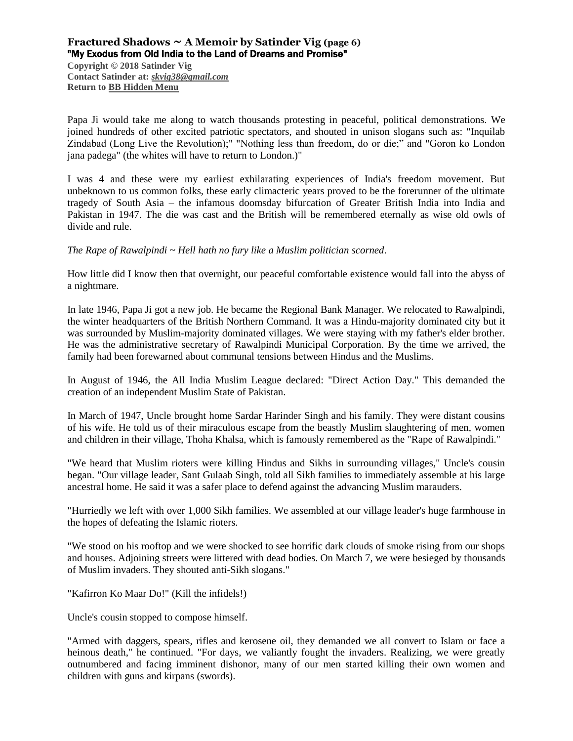## **Fractured Shadows ~ A Memoir by Satinder Vig (page 6)** "My Exodus from Old India to the Land of Dreams and Promise"

**Copyright © 2018 Satinder Vig Contact Satinder at:** *[skvig38@gmail.com](mailto:skvig38@gmail.com)* **Return to [BB Hidden Menu](https://www.bartlettbiographies.com/hidden-menu)**

Papa Ji would take me along to watch thousands protesting in peaceful, political demonstrations. We joined hundreds of other excited patriotic spectators, and shouted in unison slogans such as: "Inquilab Zindabad (Long Live the Revolution);" "Nothing less than freedom, do or die;" and "Goron ko London jana padega" (the whites will have to return to London.)"

I was 4 and these were my earliest exhilarating experiences of India's freedom movement. But unbeknown to us common folks, these early climacteric years proved to be the forerunner of the ultimate tragedy of South Asia – the infamous doomsday bifurcation of Greater British India into India and Pakistan in 1947. The die was cast and the British will be remembered eternally as wise old owls of divide and rule.

#### *The Rape of Rawalpindi ~ Hell hath no fury like a Muslim politician scorned.*

How little did I know then that overnight, our peaceful comfortable existence would fall into the abyss of a nightmare.

In late 1946, Papa Ji got a new job. He became the Regional Bank Manager. We relocated to Rawalpindi, the winter headquarters of the British Northern Command. It was a Hindu-majority dominated city but it was surrounded by Muslim-majority dominated villages. We were staying with my father's elder brother. He was the administrative secretary of Rawalpindi Municipal Corporation. By the time we arrived, the family had been forewarned about communal tensions between Hindus and the Muslims.

In August of 1946, the All India Muslim League declared: "Direct Action Day." This demanded the creation of an independent Muslim State of Pakistan.

In March of 1947, Uncle brought home Sardar Harinder Singh and his family. They were distant cousins of his wife. He told us of their miraculous escape from the beastly Muslim slaughtering of men, women and children in their village, Thoha Khalsa, which is famously remembered as the "Rape of Rawalpindi."

"We heard that Muslim rioters were killing Hindus and Sikhs in surrounding villages," Uncle's cousin began. "Our village leader, Sant Gulaab Singh, told all Sikh families to immediately assemble at his large ancestral home. He said it was a safer place to defend against the advancing Muslim marauders.

"Hurriedly we left with over 1,000 Sikh families. We assembled at our village leader's huge farmhouse in the hopes of defeating the Islamic rioters.

"We stood on his rooftop and we were shocked to see horrific dark clouds of smoke rising from our shops and houses. Adjoining streets were littered with dead bodies. On March 7, we were besieged by thousands of Muslim invaders. They shouted anti-Sikh slogans."

"Kafirron Ko Maar Do!" (Kill the infidels!)

Uncle's cousin stopped to compose himself.

"Armed with daggers, spears, rifles and kerosene oil, they demanded we all convert to Islam or face a heinous death," he continued. "For days, we valiantly fought the invaders. Realizing, we were greatly outnumbered and facing imminent dishonor, many of our men started killing their own women and children with guns and kirpans (swords).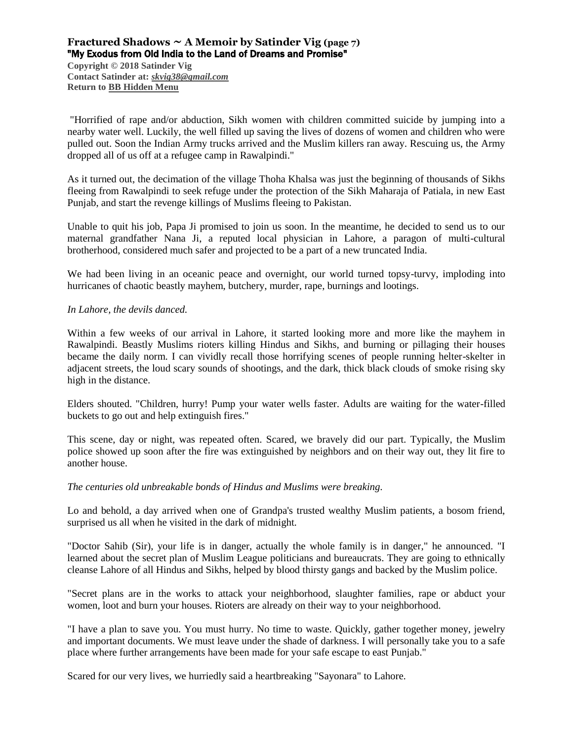## **Fractured Shadows**  $\sim$  **A Memoir by Satinder Vig** (page 7) "My Exodus from Old India to the Land of Dreams and Promise"

**Copyright © 2018 Satinder Vig Contact Satinder at:** *[skvig38@gmail.com](mailto:skvig38@gmail.com)* **Return to [BB Hidden Menu](https://www.bartlettbiographies.com/hidden-menu)**

"Horrified of rape and/or abduction, Sikh women with children committed suicide by jumping into a nearby water well. Luckily, the well filled up saving the lives of dozens of women and children who were pulled out. Soon the Indian Army trucks arrived and the Muslim killers ran away. Rescuing us, the Army dropped all of us off at a refugee camp in Rawalpindi."

As it turned out, the decimation of the village Thoha Khalsa was just the beginning of thousands of Sikhs fleeing from Rawalpindi to seek refuge under the protection of the Sikh Maharaja of Patiala, in new East Punjab, and start the revenge killings of Muslims fleeing to Pakistan.

Unable to quit his job, Papa Ji promised to join us soon. In the meantime, he decided to send us to our maternal grandfather Nana Ji, a reputed local physician in Lahore, a paragon of multi-cultural brotherhood, considered much safer and projected to be a part of a new truncated India.

We had been living in an oceanic peace and overnight, our world turned topsy-turvy, imploding into hurricanes of chaotic beastly mayhem, butchery, murder, rape, burnings and lootings.

#### *In Lahore, the devils danced.*

Within a few weeks of our arrival in Lahore, it started looking more and more like the mayhem in Rawalpindi. Beastly Muslims rioters killing Hindus and Sikhs, and burning or pillaging their houses became the daily norm. I can vividly recall those horrifying scenes of people running helter-skelter in adjacent streets, the loud scary sounds of shootings, and the dark, thick black clouds of smoke rising sky high in the distance.

Elders shouted. "Children, hurry! Pump your water wells faster. Adults are waiting for the water-filled buckets to go out and help extinguish fires."

This scene, day or night, was repeated often. Scared, we bravely did our part. Typically, the Muslim police showed up soon after the fire was extinguished by neighbors and on their way out, they lit fire to another house.

#### *The centuries old unbreakable bonds of Hindus and Muslims were breaking.*

Lo and behold, a day arrived when one of Grandpa's trusted wealthy Muslim patients, a bosom friend, surprised us all when he visited in the dark of midnight.

"Doctor Sahib (Sir), your life is in danger, actually the whole family is in danger," he announced. "I learned about the secret plan of Muslim League politicians and bureaucrats. They are going to ethnically cleanse Lahore of all Hindus and Sikhs, helped by blood thirsty gangs and backed by the Muslim police.

"Secret plans are in the works to attack your neighborhood, slaughter families, rape or abduct your women, loot and burn your houses. Rioters are already on their way to your neighborhood.

"I have a plan to save you. You must hurry. No time to waste. Quickly, gather together money, jewelry and important documents. We must leave under the shade of darkness. I will personally take you to a safe place where further arrangements have been made for your safe escape to east Punjab."

Scared for our very lives, we hurriedly said a heartbreaking "Sayonara" to Lahore.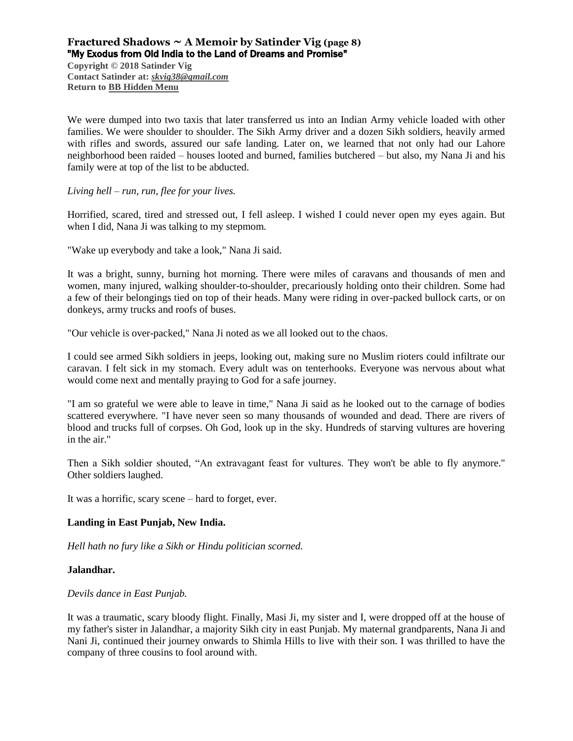## **Fractured Shadows ~ A Memoir by Satinder Vig (page 8)** "My Exodus from Old India to the Land of Dreams and Promise"

**Copyright © 2018 Satinder Vig Contact Satinder at:** *[skvig38@gmail.com](mailto:skvig38@gmail.com)* **Return to [BB Hidden Menu](https://www.bartlettbiographies.com/hidden-menu)**

We were dumped into two taxis that later transferred us into an Indian Army vehicle loaded with other families. We were shoulder to shoulder. The Sikh Army driver and a dozen Sikh soldiers, heavily armed with rifles and swords, assured our safe landing. Later on, we learned that not only had our Lahore neighborhood been raided – houses looted and burned, families butchered – but also, my Nana Ji and his family were at top of the list to be abducted.

#### *Living hell – run, run, flee for your lives.*

Horrified, scared, tired and stressed out, I fell asleep. I wished I could never open my eyes again. But when I did, Nana Ji was talking to my stepmom.

"Wake up everybody and take a look," Nana Ji said.

It was a bright, sunny, burning hot morning. There were miles of caravans and thousands of men and women, many injured, walking shoulder-to-shoulder, precariously holding onto their children. Some had a few of their belongings tied on top of their heads. Many were riding in over-packed bullock carts, or on donkeys, army trucks and roofs of buses.

"Our vehicle is over-packed," Nana Ji noted as we all looked out to the chaos.

I could see armed Sikh soldiers in jeeps, looking out, making sure no Muslim rioters could infiltrate our caravan. I felt sick in my stomach. Every adult was on tenterhooks. Everyone was nervous about what would come next and mentally praying to God for a safe journey.

"I am so grateful we were able to leave in time," Nana Ji said as he looked out to the carnage of bodies scattered everywhere. "I have never seen so many thousands of wounded and dead. There are rivers of blood and trucks full of corpses. Oh God, look up in the sky. Hundreds of starving vultures are hovering in the air."

Then a Sikh soldier shouted, "An extravagant feast for vultures. They won't be able to fly anymore." Other soldiers laughed.

It was a horrific, scary scene – hard to forget, ever.

#### **Landing in East Punjab, New India.**

*Hell hath no fury like a Sikh or Hindu politician scorned.*

#### **Jalandhar.**

*Devils dance in East Punjab.* 

It was a traumatic, scary bloody flight. Finally, Masi Ji, my sister and I, were dropped off at the house of my father's sister in Jalandhar, a majority Sikh city in east Punjab. My maternal grandparents, Nana Ji and Nani Ji, continued their journey onwards to Shimla Hills to live with their son. I was thrilled to have the company of three cousins to fool around with.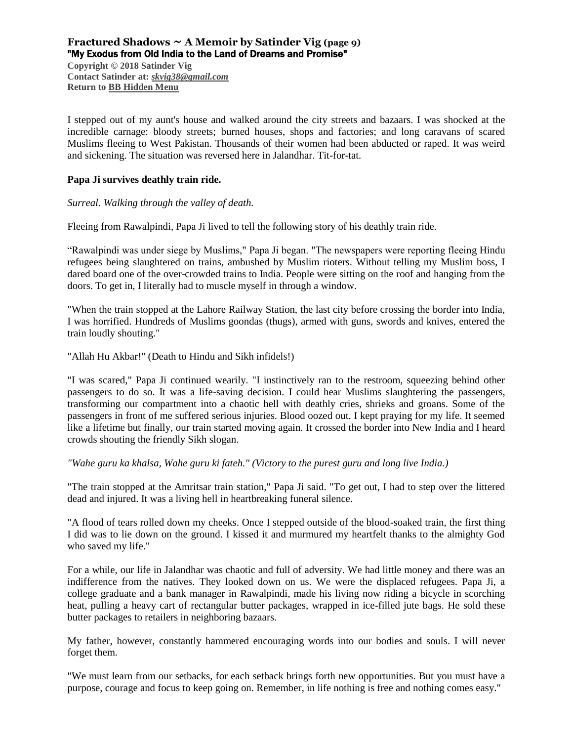## **Fractured Shadows ~ A Memoir by Satinder Vig (page 9)** "My Exodus from Old India to the Land of Dreams and Promise"

**Copyright © 2018 Satinder Vig Contact Satinder at:** *[skvig38@gmail.com](mailto:skvig38@gmail.com)* **Return to [BB Hidden Menu](https://www.bartlettbiographies.com/hidden-menu)**

I stepped out of my aunt's house and walked around the city streets and bazaars. I was shocked at the incredible carnage: bloody streets; burned houses, shops and factories; and long caravans of scared Muslims fleeing to West Pakistan. Thousands of their women had been abducted or raped. It was weird and sickening. The situation was reversed here in Jalandhar. Tit-for-tat.

#### **Papa Ji survives deathly train ride.**

*Surreal. Walking through the valley of death.*

Fleeing from Rawalpindi, Papa Ji lived to tell the following story of his deathly train ride.

"Rawalpindi was under siege by Muslims," Papa Ji began. "The newspapers were reporting fleeing Hindu refugees being slaughtered on trains, ambushed by Muslim rioters. Without telling my Muslim boss, I dared board one of the over-crowded trains to India. People were sitting on the roof and hanging from the doors. To get in, I literally had to muscle myself in through a window.

"When the train stopped at the Lahore Railway Station, the last city before crossing the border into India, I was horrified. Hundreds of Muslims goondas (thugs), armed with guns, swords and knives, entered the train loudly shouting."

"Allah Hu Akbar!" (Death to Hindu and Sikh infidels!)

"I was scared," Papa Ji continued wearily. "I instinctively ran to the restroom, squeezing behind other passengers to do so. It was a life-saving decision. I could hear Muslims slaughtering the passengers, transforming our compartment into a chaotic hell with deathly cries, shrieks and groans. Some of the passengers in front of me suffered serious injuries. Blood oozed out. I kept praying for my life. It seemed like a lifetime but finally, our train started moving again. It crossed the border into New India and I heard crowds shouting the friendly Sikh slogan.

*"Wahe guru ka khalsa, Wahe guru ki fateh." (Victory to the purest guru and long live India.)*

"The train stopped at the Amritsar train station," Papa Ji said. "To get out, I had to step over the littered dead and injured. It was a living hell in heartbreaking funeral silence.

"A flood of tears rolled down my cheeks. Once I stepped outside of the blood-soaked train, the first thing I did was to lie down on the ground. I kissed it and murmured my heartfelt thanks to the almighty God who saved my life."

For a while, our life in Jalandhar was chaotic and full of adversity. We had little money and there was an indifference from the natives. They looked down on us. We were the displaced refugees. Papa Ji, a college graduate and a bank manager in Rawalpindi, made his living now riding a bicycle in scorching heat, pulling a heavy cart of rectangular butter packages, wrapped in ice-filled jute bags. He sold these butter packages to retailers in neighboring bazaars.

My father, however, constantly hammered encouraging words into our bodies and souls. I will never forget them.

"We must learn from our setbacks, for each setback brings forth new opportunities. But you must have a purpose, courage and focus to keep going on. Remember, in life nothing is free and nothing comes easy."